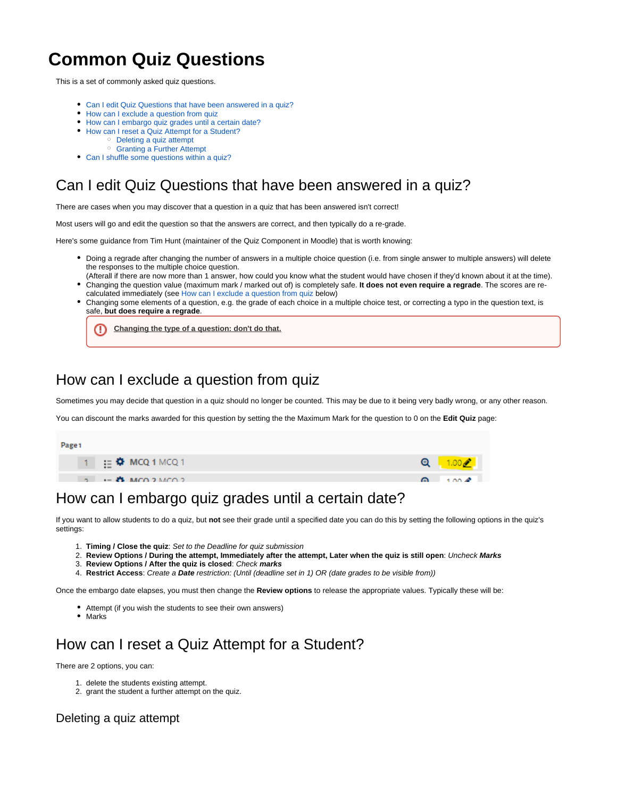# **Common Quiz Questions**

This is a set of commonly asked quiz questions.

- [Can I edit Quiz Questions that have been answered in a quiz?](#page-0-0)
- [How can I exclude a question from quiz](#page-0-1)
- [How can I embargo quiz grades until a certain date?](#page-0-2)
- [How can I reset a Quiz Attempt for a Student?](#page-0-3)
	- [Deleting a quiz attempt](#page-0-4)
		- [Granting a Further Attempt](#page-1-0)
- [Can I shuffle some questions within a quiz?](#page-2-0)

## <span id="page-0-0"></span>Can I edit Quiz Questions that have been answered in a quiz?

There are cases when you may discover that a question in a quiz that has been answered isn't correct!

Most users will go and edit the question so that the answers are correct, and then typically do a re-grade.

Here's some guidance from Tim Hunt (maintainer of the Quiz Component in Moodle) that is worth knowing:

- Doing a regrade after changing the number of answers in a multiple choice question (i.e. from single answer to multiple answers) will delete the responses to the multiple choice question.
- (Afterall if there are now more than 1 answer, how could you know what the student would have chosen if they'd known about it at the time). Changing the question value (maximum mark / marked out of) is completely safe. **It does not even require a regrade**. The scores are re-
- calculated immediately (see [How can I exclude a question from quiz](#page-0-1) below) Changing some elements of a question, e.g. the grade of each choice in a multiple choice test, or correcting a typo in the question text, is safe, **but does require a regrade**.

**Changing the type of a question: don't do that.**

#### <span id="page-0-1"></span>How can I exclude a question from quiz

Sometimes you may decide that question in a quiz should no longer be counted. This may be due to it being very badly wrong, or any other reason.

You can discount the marks awarded for this question by setting the the Maximum Mark for the question to 0 on the **Edit Quiz** page:



## <span id="page-0-2"></span>How can I embargo quiz grades until a certain date?

If you want to allow students to do a quiz, but **not** see their grade until a specified date you can do this by setting the following options in the quiz's settings:

- 1. **Timing / Close the quiz**: Set to the Deadline for quiz submission
- 2. **Review Options / During the attempt, Immediately after the attempt, Later when the quiz is still open**: Uncheck **Marks**
- 3. **Review Options / After the quiz is closed**: Check **marks**
- 4. **Restrict Access**: Create a **Date** restriction: (Until (deadline set in 1) OR (date grades to be visible from))

Once the embargo date elapses, you must then change the **Review options** to release the appropriate values. Typically these will be:

- Attempt (if you wish the students to see their own answers)
- Marks

### <span id="page-0-3"></span>How can I reset a Quiz Attempt for a Student?

There are 2 options, you can:

- 1. delete the students existing attempt.
- 2. grant the student a further attempt on the quiz.

#### <span id="page-0-4"></span>Deleting a quiz attempt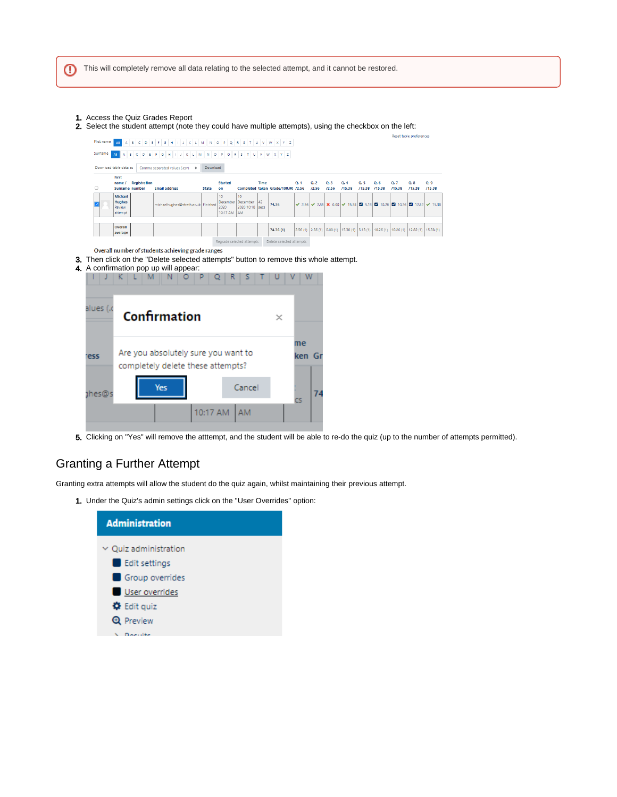- 1. Access the Quiz Grades Report
- 2. Select the student attempt (note they could have multiple attempts), using the checkbox on the left:

|                                                   |                                                                                              |                     |  |                      |  |                                     |  |              |                      |  |                                                           |      |                                                                                      |         |                         |                    |                          |                         |     | Reset table preferences |                                                                                                                                    |               |  |
|---------------------------------------------------|----------------------------------------------------------------------------------------------|---------------------|--|----------------------|--|-------------------------------------|--|--------------|----------------------|--|-----------------------------------------------------------|------|--------------------------------------------------------------------------------------|---------|-------------------------|--------------------|--------------------------|-------------------------|-----|-------------------------|------------------------------------------------------------------------------------------------------------------------------------|---------------|--|
| First name                                        |                                                                                              | 8                   |  |                      |  |                                     |  |              |                      |  |                                                           |      | C D E F G H I J K L M N O P Q R S T U V W X Y Z                                      |         |                         |                    |                          |                         |     |                         |                                                                                                                                    |               |  |
| Surname                                           |                                                                                              | B                   |  |                      |  |                                     |  |              |                      |  |                                                           |      | $C D E F G H I J K L M N O P Q R S T U V W X Y Z$                                    |         |                         |                    |                          |                         |     |                         |                                                                                                                                    |               |  |
|                                                   | Download table data as:<br>Comma separated values (.csv)<br>Download<br>$\ddot{\phantom{1}}$ |                     |  |                      |  |                                     |  |              |                      |  |                                                           |      |                                                                                      |         |                         |                    |                          |                         |     |                         |                                                                                                                                    |               |  |
| Ω                                                 | First<br>name/<br>Surname number                                                             | <b>Registration</b> |  | <b>Email address</b> |  |                                     |  | <b>State</b> | <b>Started</b><br>on |  |                                                           | Time | Completed taken Grade/100.00 /2.56                                                   | $Q2$ 1  | Q <sub>2</sub><br>/2.56 | Q.3<br>/2.56       | Q <sub>2</sub><br>/15.38 | $Qr$ 5<br>/15.38 /15.38 | Q.6 | Q.7<br>/15.38           | Q.8<br>/15.38                                                                                                                      | Q.9<br>/15.38 |  |
|                                                   | <b>Michael</b><br><b>Hughes</b><br>Review<br>attempt                                         |                     |  |                      |  | michaelhughes@strath.ac.uk Finished |  |              | 10<br>2020           |  | 10<br>December December<br>2020 10:18 secs<br>10:17 AM AM | 42   | 74.36                                                                                |         |                         |                    |                          |                         |     |                         | <b>√</b> 2.56 <b>√</b> 2.56 <b>×</b> 0.00 <b>√</b> 15.38 <b>Ø</b> 5.13 <b>Ø</b> 10.26 <b>Ø</b> 10.26 <b>Ø</b> 12.82 <b>√</b> 15.38 |               |  |
|                                                   | Overall<br>average                                                                           |                     |  |                      |  |                                     |  |              |                      |  |                                                           |      | 74.36 (1)                                                                            | 2.56(1) |                         | $2.56(1)$ 0.00 (1) |                          |                         |     |                         | 15.38 (1) 5.13 (1) 10.26 (1) 10.26 (1) 12.82 (1) 15.38 (1)                                                                         |               |  |
| Overall number of students achieving grade ranges |                                                                                              |                     |  |                      |  |                                     |  |              |                      |  | Regrade selected attempts                                 |      | Delete selected attempts                                                             |         |                         |                    |                          |                         |     |                         |                                                                                                                                    |               |  |
| 4. A confirmation pop up will appear:             |                                                                                              |                     |  |                      |  |                                     |  |              |                      |  |                                                           |      | 3. Then click on the "Delete selected attempts" button to remove this whole attempt. |         |                         |                    |                          |                         |     |                         |                                                                                                                                    |               |  |
| alues (.c                                         |                                                                                              | Confirmation        |  |                      |  |                                     |  |              |                      |  |                                                           |      | $\times$                                                                             |         |                         |                    |                          |                         |     |                         |                                                                                                                                    |               |  |
| <b>ress</b>                                       | Are you absolutely sure you want to<br>completely delete these attempts?                     |                     |  |                      |  |                                     |  |              |                      |  |                                                           |      | me<br>ken Gr                                                                         |         |                         |                    |                          |                         |     |                         |                                                                                                                                    |               |  |
| Yes<br>ງhes@                                      |                                                                                              |                     |  |                      |  |                                     |  | Cancel       |                      |  |                                                           | cs   | 74                                                                                   |         |                         |                    |                          |                         |     |                         |                                                                                                                                    |               |  |

5. Clicking on "Yes" will remove the atttempt, and the student will be able to re-do the quiz (up to the number of attempts permitted).

#### <span id="page-1-0"></span>Granting a Further Attempt

Granting extra attempts will allow the student do the quiz again, whilst maintaining their previous attempt.

10:17 AM AM

1. Under the Quiz's admin settings click on the "User Overrides" option:

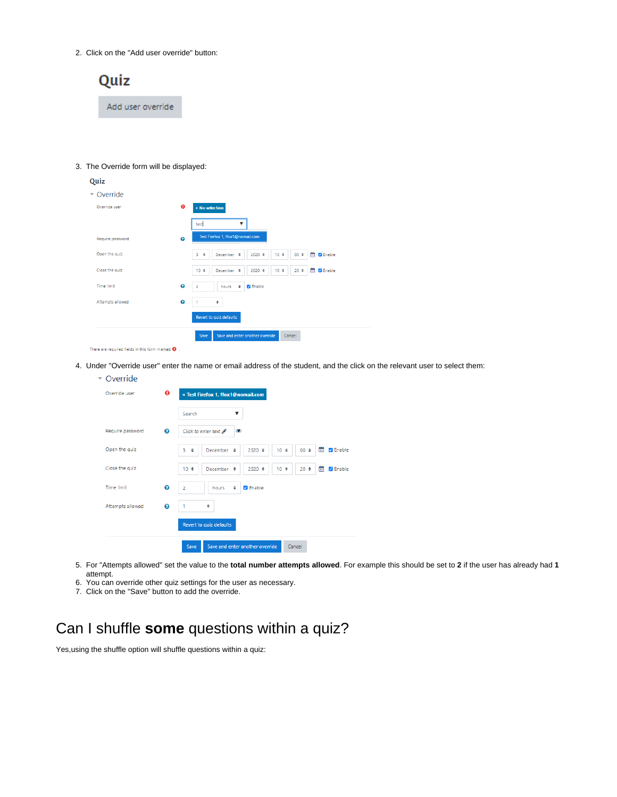2. Click on the "Add user override" button:



#### 3. The Override form will be displayed:

| Quiz                                                        |                       |                                                                                                                 |  |  |  |  |  |  |  |  |  |  |
|-------------------------------------------------------------|-----------------------|-----------------------------------------------------------------------------------------------------------------|--|--|--|--|--|--|--|--|--|--|
| $\sim$ Override                                             |                       |                                                                                                                 |  |  |  |  |  |  |  |  |  |  |
| Override user                                               | $\bullet$             | <b>× No selection</b>                                                                                           |  |  |  |  |  |  |  |  |  |  |
|                                                             |                       | test<br>v                                                                                                       |  |  |  |  |  |  |  |  |  |  |
| Require password                                            | $\boldsymbol{\Omega}$ | Test Firefox 1, ffox1@nomail.com                                                                                |  |  |  |  |  |  |  |  |  |  |
| Open the quiz                                               |                       | 巤<br><b>Z</b> Enable<br>3<br>December $\phi$<br>$2020$ $\diamond$<br>$10 \div$<br>$00$ $\diamond$<br>¢          |  |  |  |  |  |  |  |  |  |  |
| Close the quiz                                              |                       | 酋<br><b>Z</b> Enable<br>$10 \div$<br>December $\phi$<br>$2020$ $\diamond$<br>$10$ $\diamond$<br>$20$ $\diamond$ |  |  |  |  |  |  |  |  |  |  |
| Time limit                                                  | $\bullet$             | <b>Z</b> Enable<br>$\overline{2}$<br>٠<br>hours                                                                 |  |  |  |  |  |  |  |  |  |  |
| Attempts allowed                                            | $\bullet$             | 1<br>÷                                                                                                          |  |  |  |  |  |  |  |  |  |  |
|                                                             |                       | Revert to quiz defaults                                                                                         |  |  |  |  |  |  |  |  |  |  |
|                                                             |                       | Save and enter another override<br>Cancel<br>Save                                                               |  |  |  |  |  |  |  |  |  |  |
| There are required fields in this form marked $\mathbf 0$ . |                       |                                                                                                                 |  |  |  |  |  |  |  |  |  |  |

4. Under "Override user" enter the name or email address of the student, and the click on the relevant user to select them:

| Override         |          |                                                                                                                            |
|------------------|----------|----------------------------------------------------------------------------------------------------------------------------|
| Override user    | $\bf{0}$ | × Test Firefox 1, ffox1@nomail.com                                                                                         |
|                  |          | Search<br>v                                                                                                                |
| Require password | ଵ        | Click to enter text &<br>$\bullet$                                                                                         |
| Open the quiz    |          | m<br><b>Z</b> Enable<br>3<br>$00$ $\Leftrightarrow$<br>December $\phi$<br>$2020$ $\Leftrightarrow$<br>10 <sub>o</sub><br>٠ |
| Close the quiz   |          | 鱛<br>$20 \div$<br>$10 \div$<br>December $\phi$<br>$2020$ $\Leftrightarrow$<br>10 <sub>o</sub><br><b>Z</b> Enable           |
| Time limit       | ❼        | <b>Z</b> Enable<br>$\overline{2}$<br>÷<br>hours                                                                            |
| Attempts allowed | 0        | ٠                                                                                                                          |
|                  |          | Revert to quiz defaults                                                                                                    |
|                  |          | Save and enter another override<br>Cancel<br>Save                                                                          |

- 5. For "Attempts allowed" set the value to the **total number attempts allowed**. For example this should be set to **2** if the user has already had **1** attempt.
- 6. You can override other quiz settings for the user as necessary.
- 7. Click on the "Save" button to add the override.

# <span id="page-2-0"></span>Can I shuffle **some** questions within a quiz?

Yes,using the shuffle option will shuffle questions within a quiz: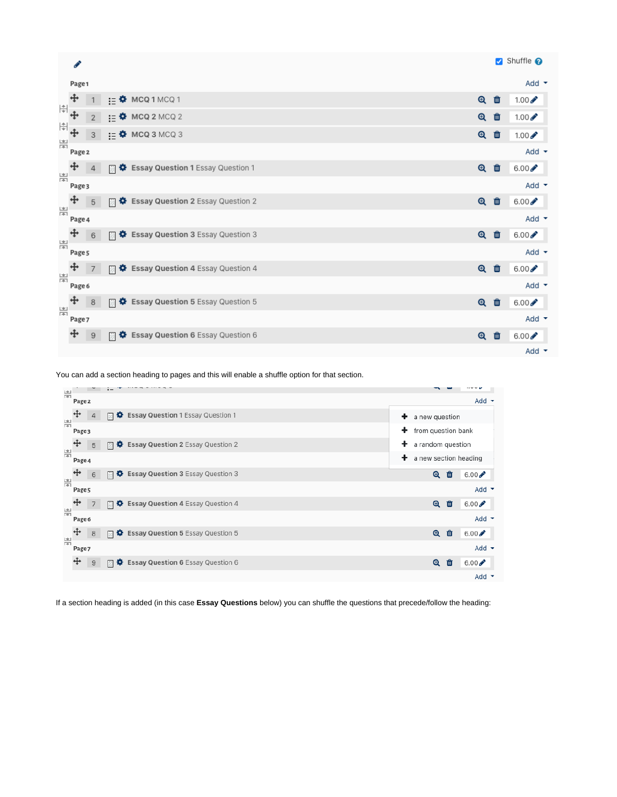|                                                                                                                                                                                                                                                                                                                                                     | Í                                                            |                  |   |                                                        |                   |   | Shuffle <b>O</b>         |
|-----------------------------------------------------------------------------------------------------------------------------------------------------------------------------------------------------------------------------------------------------------------------------------------------------------------------------------------------------|--------------------------------------------------------------|------------------|---|--------------------------------------------------------|-------------------|---|--------------------------|
|                                                                                                                                                                                                                                                                                                                                                     | Page 1                                                       |                  |   |                                                        |                   |   | Add $\blacktriangledown$ |
| $\begin{picture}(20,5) \put(0,0){\line(1,0){10}} \put(15,0){\line(1,0){10}} \put(15,0){\line(1,0){10}} \put(15,0){\line(1,0){10}} \put(15,0){\line(1,0){10}} \put(15,0){\line(1,0){10}} \put(15,0){\line(1,0){10}} \put(15,0){\line(1,0){10}} \put(15,0){\line(1,0){10}} \put(15,0){\line(1,0){10}} \put(15,0){\line(1,0){10}} \put(15,0){\line(1,$ | $\ddot{+}$                                                   | 1                |   | $:=$ $\bullet$ MCQ 1 MCQ 1                             | $\mathbf{\Theta}$ | □ | $1.00 \times$            |
|                                                                                                                                                                                                                                                                                                                                                     |                                                              | $2^{\circ}$      |   | $\mathbf{R} = \mathbf{\Phi}$ MCQ 2 MCQ 2               | $\mathbf{\Theta}$ | 面 | $1.00 \times$            |
|                                                                                                                                                                                                                                                                                                                                                     | $\begin{array}{c} \left  \frac{a}{\psi} \right  \end{array}$ | 3                |   | $\mathbf{I} = \mathbf{\Phi}$ MCQ 3 MCQ 3               | $\mathbf{\Theta}$ | 面 | $1.00 \times$            |
| 嵩                                                                                                                                                                                                                                                                                                                                                   | Page 2                                                       |                  |   |                                                        |                   |   | Add $\sim$               |
|                                                                                                                                                                                                                                                                                                                                                     | $\ddot{\text{}}$                                             | $\overline{4}$   | 蒜 | <b>D</b> Essay Question 1 Essay Question 1             | $\mathbf{\Theta}$ | 會 | $6.00 \times$            |
| 噐                                                                                                                                                                                                                                                                                                                                                   | Page 3                                                       |                  |   |                                                        |                   |   | Add $\blacktriangledown$ |
|                                                                                                                                                                                                                                                                                                                                                     | $\ddotplus$                                                  | 5                |   | 圖 ✿ Essay Question 2 Essay Question 2                  | $\mathbf{\Theta}$ | 會 | $6.00 \rightarrow$       |
| 嵩                                                                                                                                                                                                                                                                                                                                                   | Page 4                                                       |                  |   |                                                        |                   |   | Add $\sim$               |
|                                                                                                                                                                                                                                                                                                                                                     | $\ddot{}$                                                    | 6                |   | <b>E</b> $\clubsuit$ Essay Question 3 Essay Question 3 | $\mathbf{\Theta}$ | 會 | $6.00 \times$            |
| 噐                                                                                                                                                                                                                                                                                                                                                   | Page 5                                                       |                  |   |                                                        |                   |   | Add $\sim$               |
| 岸                                                                                                                                                                                                                                                                                                                                                   | +                                                            | $\overline{7}$   | 畐 | Essay Question 4 Essay Question 4                      | $\mathbf{\Theta}$ | 會 | $6.00 \times$            |
|                                                                                                                                                                                                                                                                                                                                                     | Page 6                                                       |                  |   |                                                        |                   |   | Add $\blacktriangledown$ |
|                                                                                                                                                                                                                                                                                                                                                     | $\ddot{\textbf{t}}$                                          | 8                | 田 | B: Essay Question 5 Essay Question 5                   | $\mathbf{\Theta}$ | 面 | $6.00 \times$            |
| 噐                                                                                                                                                                                                                                                                                                                                                   | Page 7                                                       |                  |   |                                                        |                   |   | Add $\sim$               |
|                                                                                                                                                                                                                                                                                                                                                     | ♣                                                            | $\boldsymbol{9}$ | 喆 | B: Essay Question 6 Essay Question 6                   | $\mathbf{\Theta}$ | □ | $6.00 \times$            |
|                                                                                                                                                                                                                                                                                                                                                     |                                                              |                  |   |                                                        |                   |   | Add $\sim$               |

You can add a section heading to pages and this will enable a shuffle option for that section.



If a section heading is added (in this case **Essay Questions** below) you can shuffle the questions that precede/follow the heading: